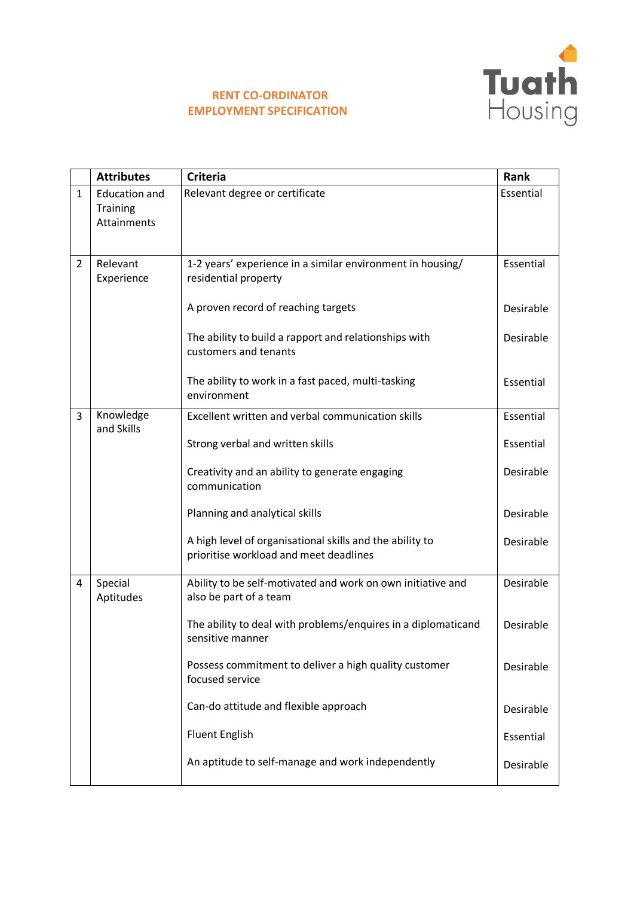

## **RENT CO-ORDINATOR EMPLOYMENT SPECIFICATION**

|                | <b>Attributes</b>                               | <b>Criteria</b>                                                                                    | Rank      |
|----------------|-------------------------------------------------|----------------------------------------------------------------------------------------------------|-----------|
| $\mathbf{1}$   | <b>Education and</b><br>Training<br>Attainments | Relevant degree or certificate                                                                     | Essential |
| $\overline{2}$ | Relevant<br>Experience                          | 1-2 years' experience in a similar environment in housing/<br>residential property                 | Essential |
|                |                                                 | A proven record of reaching targets                                                                | Desirable |
|                |                                                 | The ability to build a rapport and relationships with<br>customers and tenants                     | Desirable |
|                |                                                 | The ability to work in a fast paced, multi-tasking<br>environment                                  | Essential |
| 3              | Knowledge<br>and Skills                         | Excellent written and verbal communication skills                                                  | Essential |
|                |                                                 | Strong verbal and written skills                                                                   | Essential |
|                |                                                 | Creativity and an ability to generate engaging<br>communication                                    | Desirable |
|                |                                                 | Planning and analytical skills                                                                     | Desirable |
|                |                                                 | A high level of organisational skills and the ability to<br>prioritise workload and meet deadlines | Desirable |
| 4              | Special<br>Aptitudes                            | Ability to be self-motivated and work on own initiative and<br>also be part of a team              | Desirable |
|                |                                                 | The ability to deal with problems/enquires in a diplomaticand<br>sensitive manner                  | Desirable |
|                |                                                 | Possess commitment to deliver a high quality customer<br>focused service                           | Desirable |
|                |                                                 | Can-do attitude and flexible approach                                                              | Desirable |
|                |                                                 | <b>Fluent English</b>                                                                              | Essential |
|                |                                                 | An aptitude to self-manage and work independently                                                  | Desirable |